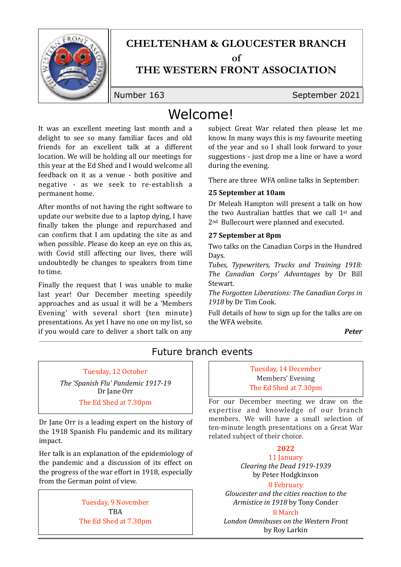

# **CHELTENHAM & GLOUCESTER BRANCH**

 $\alpha$ **f** 

## **THE WESTERN FRONT ASSOCIATION**

Number 163 September 2021

## Welcome!

It was an excellent meeting last month and a delight to see so many familiar faces and old friends for an excellent talk at a different location. We will be holding all our meetings for this year at the Ed Shed and I would welcome all feedback on it as a venue - both positive and negative - as we seek to re-establish a permanent home.

After months of not having the right software to update our website due to a laptop dying, I have finally taken the plunge and repurchased and can confirm that I am updating the site as and when possible. Please do keep an eye on this as, with Covid still affecting our lives, there will undoubtedly be changes to speakers from time to time.

Finally the request that I was unable to make last year! Our December meeting speedily approaches and as usual it will be a 'Members Evening' with several short (ten minute) presentations. As yet I have no one on my list, so if you would care to deliver a short talk on any

subject Great War related then please let me know. In many ways this is my favourite meeting of the year and so I shall look forward to your suggestions  $-$  just drop me a line or have a word during the evening.

There are three WFA online talks in September:

## **25 September at 10am**

Dr Meleah Hampton will present a talk on how the two Australian battles that we call  $1<sup>st</sup>$  and 2<sup>nd</sup> Bullecourt were planned and executed.

## **27 September at 8pm**

Two talks on the Canadian Corps in the Hundred Days.

*Tubes, Typewriters, Trucks and Training 1918: The Canadian Corps' Advantages* by Dr Bill Stewart. 

The Forgotten Liberations: The Canadian Corps in *1918* by Dr Tim Cook. 

Full details of how to sign up for the talks are on the WFA website.

#### *Peter*

## Future branch events

Tuesday, 12 October

The 'Spanish Flu' Pandemic 1917-19 Dr Jane Orr The Ed Shed at 7.30pm

Dr Jane Orr is a leading expert on the history of the 1918 Spanish Flu pandemic and its military impact.

Her talk is an explanation of the epidemiology of the pandemic and a discussion of its effect on the progress of the war effort in  $1918$ , especially from the German point of view.

> Tuesday, 9 November TBA The Ed Shed at 7.30pm

#### Tuesday, 14 December Members' Evening The Ed Shed at 7.30pm

For our December meeting we draw on the expertise and knowledge of our branch members. We will have a small selection of ten-minute length presentations on a Great War related subject of their choice.

## **2022**

11 January *Clearing the Dead 1919-1939*  by Peter Hodgkinson

#### 8 February

Gloucester and the cities reaction to the *Armistice in 1918* by Tony Conder

8 March *London Omnibuses on the Western Front*  by Roy Larkin